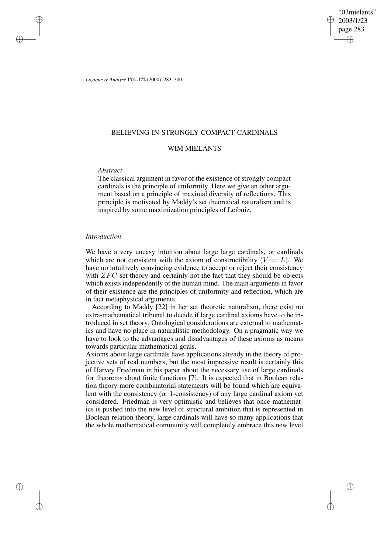"03mielants" 2003/1/23 page 283 ✐ ✐

✐

✐

*Logique & Analyse* **171–172** (2000), 283–300

# BELIEVING IN STRONGLY COMPACT CARDINALS

# WIM MIELANTS

# *Abstract*

✐

✐

✐

✐

The classical argument in favor of the existence of strongly compact cardinals is the principle of uniformity. Here we give an other argument based on a principle of maximal diversity of reflections. This principle is motivated by Maddy's set theoretical naturalism and is inspired by some maximization principles of Leibniz.

### *Introduction*

We have a very uneasy intuition about large large cardinals, or cardinals which are not consistent with the axiom of constructibility  $(V = L)$ . We have no intuitively convincing evidence to accept or reject their consistency with *ZFC*-set theory and certainly not the fact that they should be objects which exists independently of the human mind. The main arguments in favor of their existence are the principles of uniformity and reflection, which are in fact metaphysical arguments.

According to Maddy [22] in her set theoretic naturalism, there exist no extra-mathematical tribunal to decide if large cardinal axioms have to be introduced in set theory. Ontological considerations are external to mathematics and have no place in naturalistic methodology. On a pragmatic way we have to look to the advantages and disadvantages of these axioms as means towards particular mathematical goals.

Axioms about large cardinals have applications already in the theory of projective sets of real numbers, but the most impressive result is certainly this of Harvey Friedman in his paper about the necessary use of large cardinals for theorems about finite functions [7]. It is expected that in Boolean relation theory more combinatorial statements will be found which are equivalent with the consistency (or 1-consistency) of any large cardinal axiom yet considered. Friedman is very optimistic and believes that once mathematics is pushed into the new level of structural ambition that is represented in Boolean relation theory, large cardinals will have so many applications that the whole mathematical community will completely embrace this new level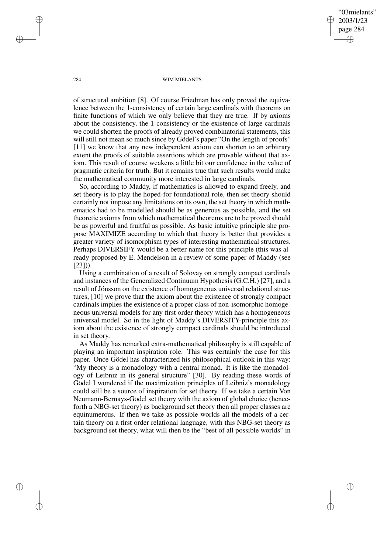"03mielants" 2003/1/23 page 284 ✐ ✐

✐

✐

#### 284 WIM MIELANTS

of structural ambition [8]. Of course Friedman has only proved the equivalence between the 1-consistency of certain large cardinals with theorems on finite functions of which we only believe that they are true. If by axioms about the consistency, the 1-consistency or the existence of large cardinals we could shorten the proofs of already proved combinatorial statements, this will still not mean so much since by Gödel's paper "On the length of proofs" [11] we know that any new independent axiom can shorten to an arbitrary extent the proofs of suitable assertions which are provable without that axiom. This result of course weakens a little bit our confidence in the value of pragmatic criteria for truth. But it remains true that such results would make the mathematical community more interested in large cardinals.

So, according to Maddy, if mathematics is allowed to expand freely, and set theory is to play the hoped-for foundational role, then set theory should certainly not impose any limitations on its own, the set theory in which mathematics had to be modelled should be as generous as possible, and the set theoretic axioms from which mathematical theorems are to be proved should be as powerful and fruitful as possible. As basic intuitive principle she propose MAXIMIZE according to which that theory is better that provides a greater variety of isomorphism types of interesting mathematical structures. Perhaps DIVERSIFY would be a better name for this principle (this was already proposed by E. Mendelson in a review of some paper of Maddy (see  $[23]$ ).

Using a combination of a result of Solovay on strongly compact cardinals and instances of the Generalized Continuum Hypothesis (G.C.H.) [27], and a result of Jónsson on the existence of homogeneous universal relational structures, [10] we prove that the axiom about the existence of strongly compact cardinals implies the existence of a proper class of non-isomorphic homogeneous universal models for any first order theory which has a homogeneous universal model. So in the light of Maddy's DIVERSITY-principle this axiom about the existence of strongly compact cardinals should be introduced in set theory.

As Maddy has remarked extra-mathematical philosophy is still capable of playing an important inspiration role. This was certainly the case for this paper. Once Gödel has characterized his philosophical outlook in this way: "My theory is a monadology with a central monad. It is like the monadology of Leibniz in its general structure" [30]. By reading these words of Gödel I wondered if the maximization principles of Leibniz's monadology could still be a source of inspiration for set theory. If we take a certain Von Neumann-Bernays-Gödel set theory with the axiom of global choice (henceforth a NBG-set theory) as background set theory then all proper classes are equinumerous. If then we take as possible worlds all the models of a certain theory on a first order relational language, with this NBG-set theory as background set theory, what will then be the "best of all possible worlds" in

✐

✐

✐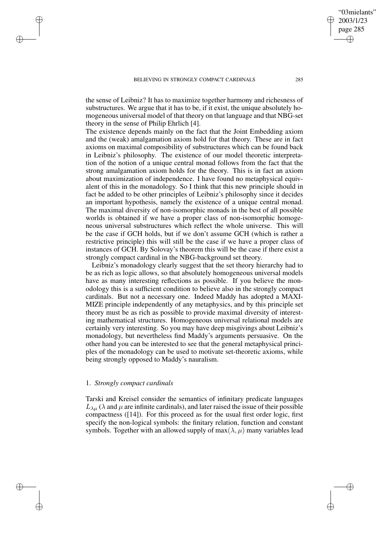the sense of Leibniz? It has to maximize together harmony and richesness of substructures. We argue that it has to be, if it exist, the unique absolutely homogeneous universal model of that theory on that language and that NBG-set theory in the sense of Philip Ehrlich [4].

The existence depends mainly on the fact that the Joint Embedding axiom and the (weak) amalgamation axiom hold for that theory. These are in fact axioms on maximal composibility of substructures which can be found back in Leibniz's philosophy. The existence of our model theoretic interpretation of the notion of a unique central monad follows from the fact that the strong amalgamation axiom holds for the theory. This is in fact an axiom about maximization of independence. I have found no metaphysical equivalent of this in the monadology. So I think that this new principle should in fact be added to be other principles of Leibniz's philosophy since it decides an important hypothesis, namely the existence of a unique central monad. The maximal diversity of non-isomorphic monads in the best of all possible worlds is obtained if we have a proper class of non-isomorphic homogeneous universal substructures which reflect the whole universe. This will be the case if GCH holds, but if we don't assume GCH (which is rather a restrictive principle) this will still be the case if we have a proper class of instances of GCH. By Solovay's theorem this will be the case if there exist a strongly compact cardinal in the NBG-background set theory.

Leibniz's monadology clearly suggest that the set theory hierarchy had to be as rich as logic allows, so that absolutely homogeneous universal models have as many interesting reflections as possible. If you believe the monodology this is a sufficient condition to believe also in the strongly compact cardinals. But not a necessary one. Indeed Maddy has adopted a MAXI-MIZE principle independently of any metaphysics, and by this principle set theory must be as rich as possible to provide maximal diversity of interesting mathematical structures. Homogeneous universal relational models are certainly very interesting. So you may have deep misgivings about Leibniz's monadology, but nevertheless find Maddy's arguments persuasive. On the other hand you can be interested to see that the general metaphysical principles of the monadology can be used to motivate set-theoretic axioms, while being strongly opposed to Maddy's nauralism.

### 1. *Strongly compact cardinals*

✐

✐

✐

✐

Tarski and Kreisel consider the semantics of infinitary predicate languages  $L_{\lambda\mu}$  ( $\lambda$  and  $\mu$  are infinite cardinals), and later raised the issue of their possible compactness ([14]). For this proceed as for the usual first order logic, first specify the non-logical symbols: the finitary relation, function and constant symbols. Together with an allowed supply of  $max(\lambda, \mu)$  many variables lead

"03mielants" 2003/1/23 page 285

✐

✐

✐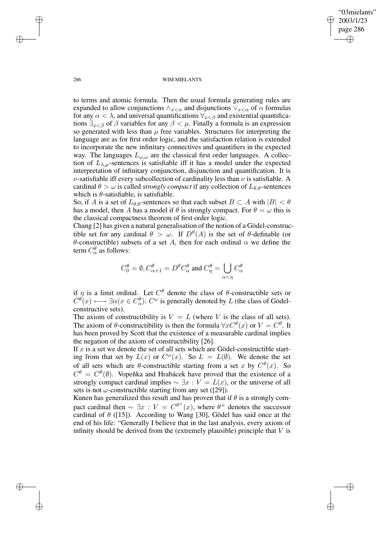"03mielants" 2003/1/23 page 286 ✐ ✐

✐

✐

#### 286 WIM MIELANTS

to terms and atomic formula. Then the usual formula generating rules are expanded to allow conjunctions  $\wedge_{x<\alpha}$  and disjunctions  $\vee_{x<\alpha}$  of  $\alpha$  formulas for any  $\alpha < \lambda$ , and universal quantifications  $\forall x < \beta$  and existential quantifications  $\exists_{x\leq\beta}$  of  $\beta$  variables for any  $\beta<\mu$ . Finally a formula is an expression so generated with less than  $\mu$  free variables. Structures for interpreting the language are as for first order logic, and the satisfaction relation is extended to incorporate the new infinitary connectives and quantifiers in the expected way. The languages  $L_{\omega,\omega}$  are the classical first order languages. A collection of  $L_{\lambda,\mu}$ -sentences is satisfiable iff it has a model under the expected interpretation of infinitary conjunction, disjunction and quantification. It is  $\nu$ -satisfiable iff every subcollection of cardinality less than  $\nu$  is satisfiable. A cardinal  $\theta > \omega$  is called *strongly compact* if any collection of  $L_{\theta,\theta}$ -sentences which is  $\theta$ -satisfiable, is satisfiable.

So, if A is a set of  $L_{\theta,\theta}$ -sentences so that each subset  $B \subset A$  with  $|B| < \theta$ has a model, then A has a model if  $\theta$  is strongly compact. For  $\theta = \omega$  this is the classical compactness theorem of first order logic.

Chang [2] has given a natural generalisation of the notion of a Gödel-constructible set for any cardinal  $\theta > \omega$ . If  $D^{\theta}(A)$  is the set of  $\theta$ -definable (or θ-constructible) subsets of a set A, then for each ordinal α we define the term  $C_{\alpha}^{\theta}$  as follows:

$$
C_0^{\theta} = \emptyset
$$
,  $C_{\alpha+1}^{\theta} = D^{\theta} C_{\alpha}^{\theta}$  and  $C_{\eta}^{\theta} = \bigcup_{\alpha < \eta} C_{\alpha}^{\theta}$ 

if  $\eta$  is a limit ordinal. Let  $C^{\theta}$  denote the class of  $\theta$ -constructible sets or  $C^\theta(x) \longleftrightarrow \exists \alpha (x \in C_\alpha^\theta)$ .  $C^\omega$  is generally denoted by  $L$  (the class of Gödelconstructive sets).

The axiom of constructibility is  $V = L$  (where V is the class of all sets). The axiom of  $\theta$ -constructibility is then the formula  $\forall x C^{\theta}(x)$  or  $V = C^{\theta}$ . It has been proved by Scott that the existence of a measurable cardinal implies the negation of the axiom of constructibility [26].

If  $x$  is a set we denote the set of all sets which are Gödel-constructible starting from that set by  $L(x)$  or  $C^{\omega}(x)$ . So  $L = L(\emptyset)$ . We denote the set of all sets which are  $\theta$ -constructible starting from a set x by  $C^{\theta}(x)$ . So  $C^{\theta} = C^{\theta}(\emptyset)$ . Vopeňka and Hrabácek have proved that the existence of a strongly compact cardinal implies  $\sim \exists x : V = L(x)$ , or the universe of all sets is not  $\omega$ -constructible starting from any set ([29]).

Kunen has generalized this result and has proven that if  $\theta$  is a strongly compact cardinal then  $\sim \exists x : V = C^{\theta^+}(x)$ , where  $\theta^+$  denotes the successor cardinal of  $\theta$  ([15]). According to Wang [30], Gödel has said once at the end of his life: "Generally I believe that in the last analysis, every axiom of infinity should be derived from the (extremely plausible) principle that  $V$  is

✐

✐

✐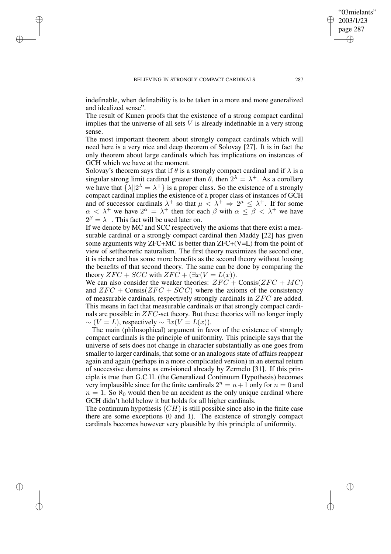✐

✐

✐

indefinable, when definability is to be taken in a more and more generalized and idealized sense".

The result of Kunen proofs that the existence of a strong compact cardinal implies that the universe of all sets  $V$  is already indefinable in a very strong sense.

The most important theorem about strongly compact cardinals which will need here is a very nice and deep theorem of Solovay [27]. It is in fact the only theorem about large cardinals which has implications on instances of GCH which we have at the moment.

Solovay's theorem says that if  $\theta$  is a strongly compact cardinal and if  $\lambda$  is a singular strong limit cardinal greater than  $\theta$ , then  $2^{\lambda} = \lambda^+$ . As a corollary we have that  $\{\lambda \| 2^{\lambda} = \lambda^+\}$  is a proper class. So the existence of a strongly compact cardinal implies the existence of a proper class of instances of GCH and of successor cardinals  $\lambda^+$  so that  $\mu \leq \lambda^+ \Rightarrow 2^{\mu} \leq \lambda^+$ . If for some  $\alpha < \lambda^+$  we have  $2^{\alpha} = \lambda^+$  then for each  $\beta$  with  $\alpha \leq \beta < \lambda^+$  we have  $2^{\beta} = \lambda^+$ . This fact will be used later on.

If we denote by MC and SCC respectively the axioms that there exist a measurable cardinal or a strongly compact cardinal then Maddy [22] has given some arguments why  $ZFC+MC$  is better than  $ZFC+(V=L)$  from the point of view of settheoretic naturalism. The first theory maximizes the second one, it is richer and has some more benefits as the second theory without loosing the benefits of that second theory. The same can be done by comparing the theory  $ZFC + SCC$  with  $ZFC + (\exists x(V = L(x))$ .

We can also consider the weaker theories:  $ZFC + Consis(ZFC + MC)$ and  $ZFC + Consis(ZFC + SCC)$  where the axioms of the consistency of measurable cardinals, respectively strongly cardinals in ZFC are added. This means in fact that measurable cardinals or that strongly compact cardinals are possible in  $ZFC$ -set theory. But these theories will no longer imply  $\sim (V = L)$ , respectively  $\sim \exists x (V = L(x))$ .

The main (philosophical) argument in favor of the existence of strongly compact cardinals is the principle of uniformity. This principle says that the universe of sets does not change in character substantially as one goes from smaller to larger cardinals, that some or an analogous state of affairs reappear again and again (perhaps in a more complicated version) in an eternal return of successive domains as envisioned already by Zermelo [31]. If this principle is true then G.C.H. (the Generalized Continuum Hypothesis) becomes very implausible since for the finite cardinals  $2^n = n+1$  only for  $n = 0$  and  $n = 1$ . So  $\aleph_0$  would then be an accident as the only unique cardinal where GCH didn't hold below it but holds for all higher cardinals.

The continuum hypothesis  $(CH)$  is still possible since also in the finite case there are some exceptions (0 and 1). The existence of strongly compact cardinals becomes however very plausible by this principle of uniformity.

"03mielants" 2003/1/23 page 287

✐

✐

✐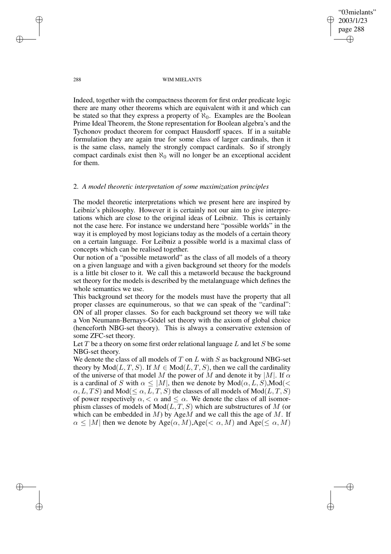2003/1/23 page 288 ✐ ✐

✐

✐

"03mielants"

288 WIM MIELANTS

Indeed, together with the compactness theorem for first order predicate logic there are many other theorems which are equivalent with it and which can be stated so that they express a property of  $\aleph_0$ . Examples are the Boolean Prime Ideal Theorem, the Stone representation for Boolean algebra's and the Tychonov product theorem for compact Hausdorff spaces. If in a suitable formulation they are again true for some class of larger cardinals, then it is the same class, namely the strongly compact cardinals. So if strongly compact cardinals exist then  $\aleph_0$  will no longer be an exceptional accident for them.

# 2. *A model theoretic interpretation of some maximization principles*

The model theoretic interpretations which we present here are inspired by Leibniz's philosophy. However it is certainly not our aim to give interpretations which are close to the original ideas of Leibniz. This is certainly not the case here. For instance we understand here "possible worlds" in the way it is employed by most logicians today as the models of a certain theory on a certain language. For Leibniz a possible world is a maximal class of concepts which can be realised together.

Our notion of a "possible metaworld" as the class of all models of a theory on a given language and with a given background set theory for the models is a little bit closer to it. We call this a metaworld because the background set theory for the models is described by the metalanguage which defines the whole semantics we use.

This background set theory for the models must have the property that all proper classes are equinumerous, so that we can speak of the "cardinal": ON of all proper classes. So for each background set theory we will take a Von Neumann-Bernays-Gödel set theory with the axiom of global choice (henceforth NBG-set theory). This is always a conservative extension of some ZFC-set theory.

Let  $T$  be a theory on some first order relational language  $L$  and let  $S$  be some NBG-set theory.

We denote the class of all models of T on L with S as background NBG-set theory by  $Mod(L, T, S)$ . If  $M \in Mod(L, T, S)$ , then we call the cardinality of the universe of that model M the power of M and denote it by |M|. If  $\alpha$ is a cardinal of S with  $\alpha \leq |M|$ , then we denote by  $Mod(\alpha, L, S)$ ,  $Mod(\leq$  $\alpha, L, TS$ ) and Mod( $\leq \alpha, L, T, S$ ) the classes of all models of Mod( $L, T, S$ ) of power respectively  $\alpha$ ,  $\lt \alpha$  and  $\leq \alpha$ . We denote the class of all isomorphism classes of models of  $Mod(L, T, S)$  which are substructures of M (or which can be embedded in  $M$ ) by Age $M$  and we call this the age of  $M$ . If  $\alpha \leq |M|$  then we denote by Age( $\alpha$ , M), Age( $\alpha$ , M) and Age( $\leq \alpha$ , M)

✐

✐

✐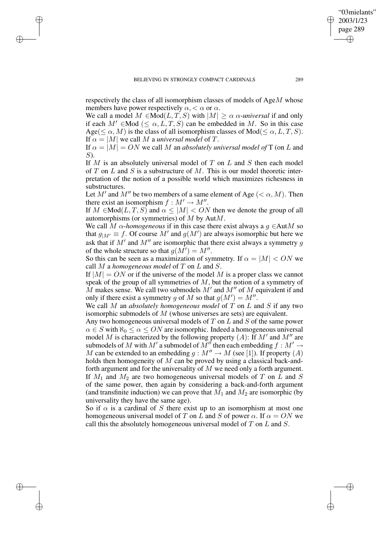✐

✐

✐

respectively the class of all isomorphism classes of models of AgeM whose members have power respectively  $\alpha$ ,  $\lt \alpha$  or  $\alpha$ .

We call a model  $M \in Mod(L, T, S)$  with  $|M| > \alpha \alpha$ -universal if and only if each  $M' \in Mod$  (<  $\alpha, L, T, S$ ) can be embedded in M. So in this case Age( $\leq \alpha$ , M) is the class of all isomorphism classes of Mod( $\leq \alpha$ , L, T, S). If  $\alpha = |M|$  we call M a *universal model* of T.

If  $\alpha = |M| = ON$  we call M an *absolutely universal model of* T (on L and S).

If  $M$  is an absolutely universal model of  $T$  on  $L$  and  $S$  then each model of T on L and S is a substructure of M. This is our model theoretic interpretation of the notion of a possible world which maximizes richesness in substructures.

Let  $M'$  and  $M''$  be two members of a same element of Age  $( $\alpha, M$ ). Then$ there exist an isomorphism  $f : M' \to M''$ .

If  $M \in Mod(L, T, S)$  and  $\alpha \leq |M| < ON$  then we denote the group of all automorphisms (or symmetries) of  $M$  by Aut $M$ .

We call M  $\alpha$ -homogeneous if in this case there exist always a g  $\in$ AutM so that  $g_{|M'} \equiv f$ . Of course M' and  $g(M')$  are always isomorphic but here we ask that if  $M'$  and  $M''$  are isomorphic that there exist always a symmetry  $g$ of the whole structure so that  $g(M^{\prime}) = M^{\prime \prime}$ .

So this can be seen as a maximization of symmetry. If  $\alpha = |M| < ON$  we call M a *homogeneous model* of T on L and S.

If  $|M| = ON$  or if the universe of the model M is a proper class we cannot speak of the group of all symmetries of M, but the notion of a symmetry of  $\tilde{M}$  makes sense. We call two submodels  $M'$  and  $M''$  of  $M$  equivalent if and only if there exist a symmetry g of M so that  $g(M') = M''$ .

We call M an *absolutely homogeneous model* of T on L and S if any two isomorphic submodels of M (whose universes are sets) are equivalent.

Any two homogeneous universal models of  $T$  on  $L$  and  $S$  of the same power  $\alpha \in S$  with  $\aleph_0 \leq \alpha \leq ON$  are isomorphic. Indeed a homogeneous universal model M is characterized by the following property  $(A)$ : If  $M'$  and  $M''$  are submodels of  $M$  with  $M'$  a submodel of  $M''$  then each embedding  $f : M' \to$ M can be extended to an embedding  $g : M'' \to M$  (see [1]). If property (A) holds then homogeneity of  $M$  can be proved by using a classical back-andforth argument and for the universality of  $M$  we need only a forth argument. If  $M_1$  and  $M_2$  are two homogeneous universal models of T on L and S of the same power, then again by considering a back-and-forth argument (and transfinite induction) we can prove that  $M_1$  and  $M_2$  are isomorphic (by universality they have the same age).

So if  $\alpha$  is a cardinal of S there exist up to an isomorphism at most one homogeneous universal model of T on L and S of power  $\alpha$ . If  $\alpha = ON$  we call this the absolutely homogeneous universal model of  $T$  on  $L$  and  $S$ .

"03mielants" 2003/1/23 page 289

✐

✐

✐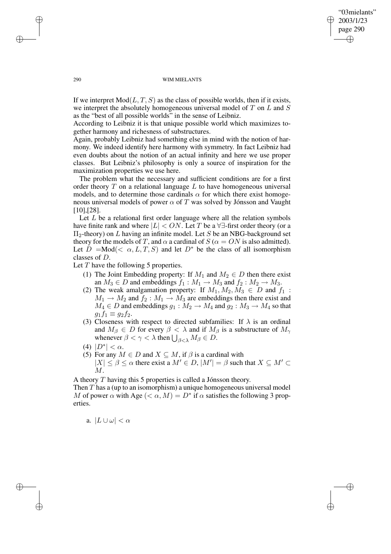### "03mielants" 2003/1/23 page 290 ✐ ✐

✐

✐

### 290 WIM MIELANTS

If we interpret  $Mod(L, T, S)$  as the class of possible worlds, then if it exists, we interpret the absolutely homogeneous universal model of T on L and S as the "best of all possible worlds" in the sense of Leibniz.

According to Leibniz it is that unique possible world which maximizes together harmony and richesness of substructures.

Again, probably Leibniz had something else in mind with the notion of harmony. We indeed identify here harmony with symmetry. In fact Leibniz had even doubts about the notion of an actual infinity and here we use proper classes. But Leibniz's philosophy is only a source of inspiration for the maximization properties we use here.

The problem what the necessary and sufficient conditions are for a first order theory  $T$  on a relational language  $L$  to have homogeneous universal models, and to determine those cardinals  $\alpha$  for which there exist homogeneous universal models of power  $\alpha$  of T was solved by Jónsson and Vaught [10],[28].

Let  $L$  be a relational first order language where all the relation symbols have finite rank and where  $|L| < ON$ . Let T be a  $\forall \exists$ -first order theory (or a  $\Pi_2$ -theory) on L having an infinite model. Let S be an NBG-background set theory for the models of T, and  $\alpha$  a cardinal of  $S(\alpha = ON)$  is also admitted). Let  $D = Mod( $\alpha, L, T, S$  and let  $D^*$  be the class of all isomorphism$ classes of D.

Let  $T$  have the following 5 properties.

- (1) The Joint Embedding property: If  $M_1$  and  $M_2 \in D$  then there exist an  $M_3 \in D$  and embeddings  $f_1 : M_1 \to M_3$  and  $f_2 : M_2 \to M_3$ .
- (2) The weak amalgamation property: If  $M_1, M_2, M_3 \in D$  and  $f_1$ :  $M_1 \rightarrow M_2$  and  $f_2 : M_1 \rightarrow M_3$  are embeddings then there exist and  $M_4 \in D$  and embeddings  $g_1 : M_2 \to M_4$  and  $g_2 : M_3 \to M_4$  so that  $g_1f_1 \equiv g_2f_2.$
- (3) Closeness with respect to directed subfamilies: If  $\lambda$  is an ordinal and  $M_{\beta} \in D$  for every  $\beta < \lambda$  and if  $M_{\beta}$  is a substructure of  $M_{\gamma}$ whenever  $\beta < \gamma < \lambda$  then  $\bigcup_{\beta < \lambda} M_{\beta} \in D$ .
- (4)  $|D^*| < \alpha$ .
- (5) For any  $M \in D$  and  $X \subseteq M$ , if  $\beta$  is a cardinal with  $|X| \leq \beta \leq \alpha$  there exist a  $M' \in D$ ,  $|M'| = \beta$  such that  $X \subseteq M' \subset$  $M$ .

A theory T having this 5 properties is called a Jónsson theory. Then  $T$  has a (up to an isomorphism) a unique homogeneous universal model M of power  $\alpha$  with Age  $( $\alpha$ ,  $M$ ) =  $D^*$  if  $\alpha$  satisfies the following 3 prop$ erties.

a.  $|L \cup \omega| < \alpha$ 

✐

✐

✐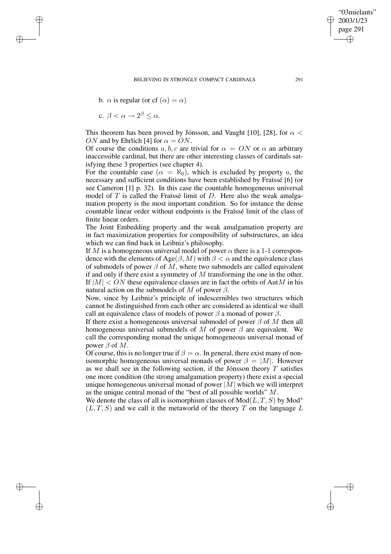b.  $\alpha$  is regular (or cf  $(\alpha) = \alpha$ )

$$
c. \ \beta < \alpha \to 2^{\beta} \leq \alpha.
$$

✐

✐

✐

✐

This theorem has been proved by Jónsson, and Vaught [10], [28], for  $\alpha$  < ON and by Ehrlich [4] for  $\alpha = ON$ .

Of course the conditions a, b, c are trivial for  $\alpha = ON$  or  $\alpha$  an arbitrary inaccessible cardinal, but there are other interesting classes of cardinals satisfying these 3 properties (see chapter 4).

For the countable case  $(\alpha = \aleph_0)$ , which is excluded by property a, the necessary and sufficient conditions have been established by Fraïssé [6] (or see Cameron [1] p. 32). In this case the countable homogeneous universal model of  $T$  is called the Fraïssé limit of  $D$ . Here also the weak amalgamation property is the most important condition. So for instance the dense countable linear order without endpoints is the Fraïssé limit of the class of finite linear orders.

The Joint Embedding property and the weak amalgamation property are in fact maximization properties for composibility of substructures, an idea which we can find back in Leibniz's philosophy.

If M is a homogeneous universal model of power  $\alpha$  there is a 1-1 correspondence with the elements of Age( $\beta$ , M) with  $\beta < \alpha$  and the equivalence class of submodels of power  $\beta$  of M, where two submodels are called equivalent if and only if there exist a symmetry of  $M$  transforming the one in the other. If  $|M| < ON$  these equivalence classes are in fact the orbits of AutM in his natural action on the submodels of M of power  $\beta$ .

Now, since by Leibniz's principle of indescernibles two structures which cannot be distinguished from each other are considered as identical we shall call an equivalence class of models of power  $\beta$  a monad of power  $\beta$ .

If there exist a homogeneous universal submodel of power  $\beta$  of M then all homogeneous universal submodels of M of power  $\beta$  are equivalent. We call the corresponding monad the unique homogeneous universal monad of power  $\beta$  of  $M$ .

Of course, this is no longer true if  $\beta = \alpha$ . In general, there exist many of nonisomorphic homogeneous universal monads of power  $\beta = |M|$ . However as we shall see in the following section, if the Jónsson theory  $T$  satisfies one more condition (the strong amalgamation property) there exist a special unique homogeneous universal monad of power  $|M|$  which we will interpret as the unique central monad of the "best of all possible worlds" M.

We denote the class of all is isomorphism classes of  $Mod(L, T, S)$  by  $Mod^*$  $(L, T, S)$  and we call it the metaworld of the theory T on the language L

"03mielants" 2003/1/23 page 291

✐

✐

✐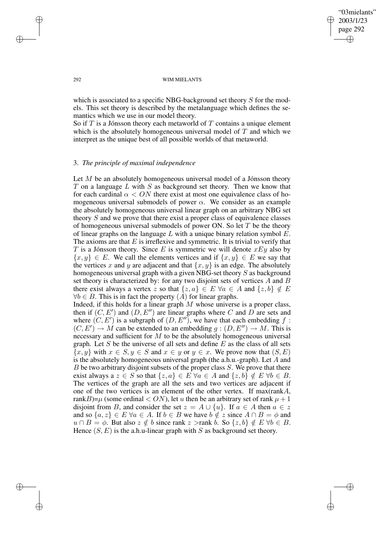## "03mielants" 2003/1/23 page 292 ✐ ✐

✐

✐

#### 292 WIM MIELANTS

which is associated to a specific NBG-background set theory S for the models. This set theory is described by the metalanguage which defines the semantics which we use in our model theory.

So if T is a Jónsson theory each metaworld of T contains a unique element which is the absolutely homogeneous universal model of  $T$  and which we interpret as the unique best of all possible worlds of that metaworld.

# 3. *The principle of maximal independence*

Let  $M$  be an absolutely homogeneous universal model of a Jónsson theory T on a language  $L$  with  $S$  as background set theory. Then we know that for each cardinal  $\alpha < ON$  there exist at most one equivalence class of homogeneous universal submodels of power  $\alpha$ . We consider as an example the absolutely homogeneous universal linear graph on an arbitrary NBG set theory S and we prove that there exist a proper class of equivalence classes of homogeneous universal submodels of power ON. So let  $T$  be the theory of linear graphs on the language  $L$  with a unique binary relation symbol  $E$ . The axioms are that  $E$  is irreflexive and symmetric. It is trivial to verify that T is a Jónsson theory. Since E is symmetric we will denote  $xEy$  also by  $\{x, y\} \in E$ . We call the elements vertices and if  $\{x, y\} \in E$  we say that the vertices x and y are adjacent and that  $\{x, y\}$  is an edge. The absolutely homogeneous universal graph with a given NBG-set theory S as background set theory is characterized by: for any two disjoint sets of vertices  $A$  and  $B$ there exist always a vertex z so that  $\{z, a\} \in E \ \forall a \in A$  and  $\{z, b\} \notin E$  $\forall b \in B$ . This is in fact the property  $(A)$  for linear graphs.

Indeed, if this holds for a linear graph  $M$  whose universe is a proper class, then if  $(C, E')$  and  $(D, E'')$  are linear graphs where C and D are sets and where  $(C, E')$  is a subgraph of  $(D, E'')$ , we have that each embedding f:  $(C, E') \to M$  can be extended to an embedding  $g : (D, E'') \to M$ . This is necessary and sufficient for  $M$  to be the absolutely homogeneous universal graph. Let S be the universe of all sets and define  $E$  as the class of all sets  $\{x, y\}$  with  $x \in S, y \in S$  and  $x \in y$  or  $y \in x$ . We prove now that  $(S, E)$ is the absolutely homogeneous universal graph (the a.h.u.-graph). Let A and  $B$  be two arbitrary disjoint subsets of the proper class  $S$ . We prove that there exist always a  $z \in S$  so that  $\{z, a\} \in E \ \forall a \in A$  and  $\{z, b\} \notin E \ \forall b \in B$ . The vertices of the graph are all the sets and two vertices are adjacent if one of the two vertices is an element of the other vertex. If max(rankA, rankB)= $\mu$  (some ordinal < ON), let u then be an arbitrary set of rank  $\mu + 1$ disjoint from B, and consider the set  $z = A \cup \{u\}$ . If  $a \in A$  then  $a \in z$ and so  $\{a, z\} \in E \ \forall a \in A$ . If  $b \in B$  we have  $b \notin z$  since  $A \cap B = \phi$  and  $u \cap B = \phi$ . But also  $z \notin b$  since rank  $z >$ rank b. So  $\{z, b\} \notin E \ \forall b \in B$ . Hence  $(S, E)$  is the a.h.u-linear graph with S as background set theory.

✐

✐

✐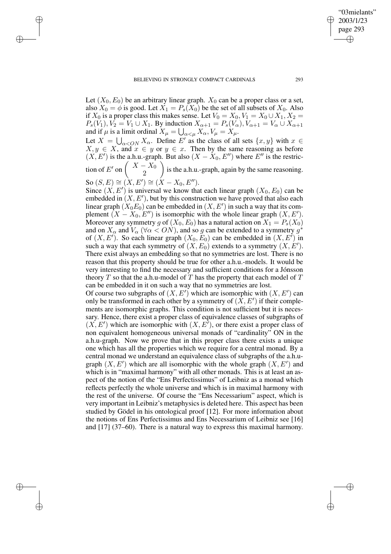Let  $(X_0, E_0)$  be an arbitrary linear graph.  $X_0$  can be a proper class or a set, also  $X_0 = \phi$  is good. Let  $X_1 = P_s(X_0)$  be the set of all subsets of  $X_0$ . Also if  $X_0$  is a proper class this makes sense. Let  $V_0 = X_0, V_1 = X_0 \cup X_1, X_2 =$  $P_s(V_1), V_2 = V_1 \cup X_1$ . By induction  $X_{\alpha+1} = P_s(V_\alpha), V_{\alpha+1} = V_\alpha \cup X_{\alpha+1}$ and if  $\mu$  is a limit ordinal  $X_\mu = \bigcup_{\alpha<\mu} X_\alpha, V_\mu = X_\mu.$ 

Let  $X = \bigcup_{\alpha < ON} X_\alpha$ . Define E' as the class of all sets  $\{x, y\}$  with  $x \in$  $X, y \in X$ , and  $x \in y$  or  $y \in x$ . Then by the same reasoning as before  $(X, E')$  is the a.h.u.-graph. But also  $(X - X_0, E'')$  where  $E''$  is the restric-

tion of E' on  $\left( \begin{array}{c} X-X_0 \\ 2 \end{array} \right)$ 2 ) is the a.h.u.-graph, again by the same reasoning.

So  $(S, E) \cong (\hat{X}, E') \cong (\hat{X} - X_0, E'').$ 

✐

✐

✐

✐

Since  $(X, E')$  is universal we know that each linear graph  $(X_0, E_0)$  can be embedded in  $(X, E')$ , but by this construction we have proved that also each linear graph  $(X_0E_0)$  can be embedded in  $(X, E')$  in such a way that its complement  $(X - X_0, E'')$  is isomorphic with the whole linear graph  $(X, E')$ . Moreover any symmetry g of  $(X_0, E_0)$  has a natural action on  $X_1 = P_s(X_0)$ and on  $X_{\alpha}$  and  $V_{\alpha}$  ( $\forall \alpha < ON$ ), and so g can be extended to a symmetry  $g^*$ of  $(X, E')$ . So each linear graph  $(X_0, E_0)$  can be embedded in  $(X, E')$  in such a way that each symmetry of  $(X, E_0)$  extends to a symmetry  $(X, E')$ . There exist always an embedding so that no symmetries are lost. There is no reason that this property should be true for other a.h.u.-models. It would be very interesting to find the necessary and sufficient conditions for a Jónsson theory  $T$  so that the a.h.u-model of  $T$  has the property that each model of  $T$ can be embedded in it on such a way that no symmetries are lost.

Of course two subgraphs of  $(X, E')$  which are isomorphic with  $(X, E')$  can only be transformed in each other by a symmetry of  $(X, E')$  if their complements are isomorphic graphs. This condition is not sufficient but it is necessary. Hence, there exist a proper class of equivalence classes of subgraphs of  $(X, E')$  which are isomorphic with  $(X, E<sup>T</sup>)$ , or there exist a proper class of non equivalent homogeneous universal monads of "cardinality" ON in the a.h.u-graph. Now we prove that in this proper class there exists a unique one which has all the properties which we require for a central monad. By a central monad we understand an equivalence class of subgraphs of the a.h.ugraph  $(X, E')$  which are all isomorphic with the whole graph  $(X, E')$  and which is in "maximal harmony" with all other monads. This is at least an aspect of the notion of the "Ens Perfectissimus" of Leibniz as a monad which reflects perfectly the whole universe and which is in maximal harmony with the rest of the universe. Of course the "Ens Necessarium" aspect, which is very important in Leibniz's metaphysics is deleted here. This aspect has been studied by Gödel in his ontological proof [12]. For more information about the notions of Ens Perfectissimus and Ens Necessarium of Leibniz see [16] and [17] (37–60). There is a natural way to express this maximal harmony.

"03mielants" 2003/1/23 page 293

✐

✐

✐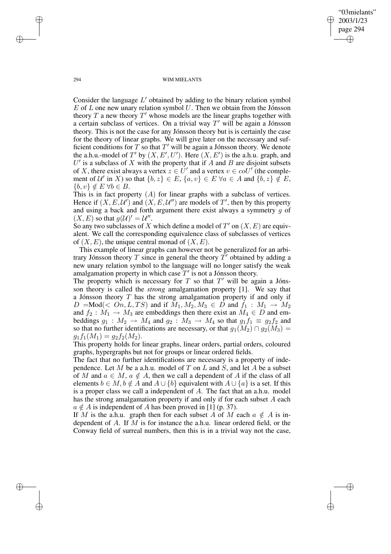294 WIM MIELANTS

"03mielants" 2003/1/23 page 294

✐

✐

✐

✐

Consider the language  $L'$  obtained by adding to the binary relation symbol  $E$  of  $L$  one new unary relation symbol  $U$ . Then we obtain from the Jónsson theory  $T$  a new theory  $T'$  whose models are the linear graphs together with a certain subclass of vertices. On a trivial way  $T'$  will be again a Jónsson theory. This is not the case for any Jónsson theory but is is certainly the case for the theory of linear graphs. We will give later on the necessary and sufficient conditions for  $T$  so that  $T'$  will be again a Jónsson theory. We denote the a.h.u.-model of T' by  $(X, E', U')$ . Here  $(X, E')$  is the a.h.u. graph, and  $U'$  is a subclass of X with the property that if A and B are disjoint subsets of X, there exist always a vertex  $z \in U'$  and a vertex  $v \in col'$  (the complement of  $\mathcal{U}'$  in X) so that  $\{b, z\} \in E$ ,  $\{a, v\} \in E \ \forall a \in A$  and  $\{b, z\} \notin E$ ,  ${b, v} \notin E \ \forall b \in B.$ 

This is in fact property  $(A)$  for linear graphs with a subclass of vertices. Hence if  $(X, E, \mathcal{U}')$  and  $(X, E, \mathcal{U}'')$  are models of T', then by this property and using a back and forth argument there exist always a symmetry g of  $(X, E)$  so that  $g(U)' = U''$ .

So any two subclasses of X which define a model of  $T'$  on  $(X, E)$  are equivalent. We call the corresponding equivalence class of subclasses of vertices of  $(X, E)$ , the unique central monad of  $(X, E)$ .

This example of linear graphs can however not be generalized for an arbitrary Jónsson theory T since in general the theory  $T'$  obtained by adding a new unary relation symbol to the language will no longer satisfy the weak amalgamation property in which case  $T'$  is not a Jónsson theory.

The property which is necessary for  $T$  so that  $T'$  will be again a Jónsson theory is called the *strong* amalgamation property [1]. We say that a Jónsson theory T has the strong amalgamation property if and only if  $D = Mod(*On, L, TS*)$  and if  $M_1, M_2, M_3 \in D$  and  $f_1 : M_1 \to M_2$ and  $f_2 : M_1 \to M_3$  are embeddings then there exist an  $M_4 \in D$  and embeddings  $g_1 : M_2 \to M_4$  and  $g_2 : M_3 \to M_4$  so that  $g_1 f_1 \equiv g_2 f_2$  and so that no further identifications are necessary, or that  $g_1(M_2) \cap g_2(M_3) =$  $g_1f_1(M_1) = g_2f_2(M_2).$ 

This property holds for linear graphs, linear orders, partial orders, coloured graphs, hypergraphs but not for groups or linear ordered fields.

The fact that no further identifications are necessary is a property of independence. Let M be a a.h.u. model of T on L and S, and let A be a subset of M and  $a \in M$ ,  $a \notin A$ , then we call a dependent of A if the class of all elements  $b \in M$ ,  $b \notin A$  and  $A \cup \{b\}$  equivalent with  $A \cup \{a\}$  is a set. If this is a proper class we call a independent of A. The fact that an a.h.u. model has the strong amalgamation property if and only if for each subset A each  $a \notin A$  is independent of A has been proved in [1] (p. 37).

If M is the a.h.u. graph then for each subset A of M each  $a \notin A$  is independent of A. If M is for instance the a.h.u. linear ordered field, or the Conway field of surreal numbers, then this is in a trivial way not the case,

✐

✐

✐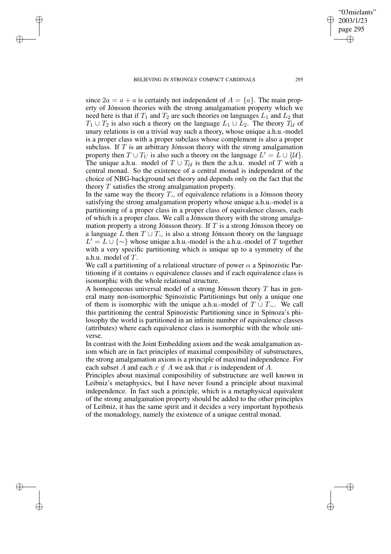✐

✐

✐

since  $2a = a + a$  is certainly not independent of  $A = \{a\}$ . The main property of Jónsson theories with the strong amalgamation property which we need here is that if  $T_1$  and  $T_2$  are such theories on languages  $L_1$  and  $L_2$  that  $T_1 \cup T_2$  is also such a theory on the language  $L_1 \cup L_2$ . The theory  $T_{\mathcal{U}}$  of unary relations is on a trivial way such a theory, whose unique a.h.u.-model is a proper class with a proper subclass whose complement is also a proper subclass. If  $T$  is an arbitrary Jónsson theory with the strong amalgamation property then  $T \cup T_U$  is also such a theory on the language  $L' = \overline{L} \cup \{U\}$ . The unique a.h.u. model of  $T \cup T_{\mathcal{U}}$  is then the a.h.u. model of T with a central monad. So the existence of a central monad is independent of the choice of NBG-background set theory and depends only on the fact that the theory T satisfies the strong amalgamation property.

In the same way the theory  $T_{\sim}$  of equivalence relations is a Jónsson theory satisfying the strong amalgamation property whose unique a.h.u.-model is a partitioning of a proper class in a proper class of equivalence classes, each of which is a proper class. We call a Jónsson theory with the strong amalgamation property a strong Jónsson theory. If  $T$  is a strong Jónsson theory on a language L then  $T \cup T_{\sim}$  is also a strong Jónsson theory on the language  $L' = L \cup \{\sim\}$  whose unique a.h.u.-model is the a.h.u.-model of T together with a very specific partitioning which is unique up to a symmetry of the a.h.u. model of T.

We call a partitioning of a relational structure of power  $\alpha$  a Spinozistic Partitioning if it contains  $\alpha$  equivalence classes and if each equivalence class is isomorphic with the whole relational structure.

A homogeneous universal model of a strong Jónsson theory  $T$  has in general many non-isomorphic Spinozistic Partitionings but only a unique one of them is isomorphic with the unique a.h.u.-model of  $T \cup T_{\sim}$ . We call this partitioning the central Spinozistic Partitioning since in Spinoza's philosophy the world is partitioned in an infinite number of equivalence classes (attributes) where each equivalence class is isomorphic with the whole universe.

In contrast with the Joint Embedding axiom and the weak amalgamation axiom which are in fact principles of maximal composibility of substructures, the strong amalgamation axiom is a principle of maximal independence. For each subset A and each  $x \notin A$  we ask that x is independent of A.

Principles about maximal composibility of substructure are well known in Leibniz's metaphysics, but I have never found a principle about maximal independence. In fact such a principle, which is a metaphysical equivalent of the strong amalgamation property should be added to the other principles of Leibniz, it has the same spirit and it decides a very important hypothesis of the monadology, namely the existence of a unique central monad.

"03mielants" 2003/1/23 page 295

✐

✐

✐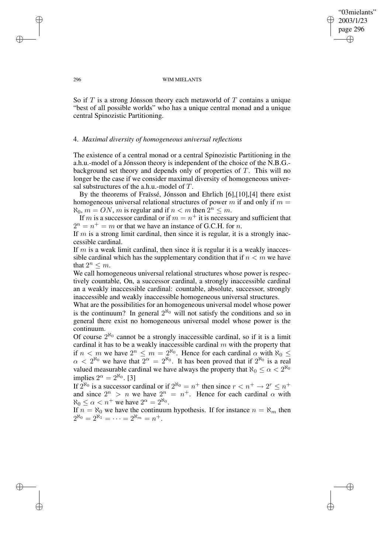"03mielants" 2003/1/23 page 296 ✐ ✐

✐

✐

#### 296 WIM MIELANTS

So if  $T$  is a strong Jónsson theory each metaworld of  $T$  contains a unique "best of all possible worlds" who has a unique central monad and a unique central Spinozistic Partitioning.

### 4. *Maximal diversity of homogeneous universal reflections*

The existence of a central monad or a central Spinozistic Partitioning in the a.h.u.-model of a Jónsson theory is independent of the choice of the N.B.G. background set theory and depends only of properties of  $T$ . This will no longer be the case if we consider maximal diversity of homogeneous universal substructures of the a.h.u.-model of T.

By the theorems of Fraïssé, Jónsson and Ehrlich [6],[10],[4] there exist homogeneous universal relational structures of power m if and only if  $m =$  $\aleph_0$ ,  $m = ON$ , m is regular and if  $n < m$  then  $2^n \le m$ .

If m is a successor cardinal or if  $m = n^+$  it is necessary and sufficient that  $2^n = n^+ = m$  or that we have an instance of G.C.H. for n.

If  $m$  is a strong limit cardinal, then since it is regular, it is a strongly inaccessible cardinal.

If  $m$  is a weak limit cardinal, then since it is regular it is a weakly inaccessible cardinal which has the supplementary condition that if  $n < m$  we have that  $2^n \leq m$ .

We call homogeneous universal relational structures whose power is respectively countable, On, a successor cardinal, a strongly inaccessible cardinal an a weakly inaccessible cardinal: countable, absolute, successor, strongly inaccessible and weakly inaccessible homogeneous universal structures.

What are the possibilities for an homogeneous universal model whose power is the continuum? In general  $2^{\aleph_0}$  will not satisfy the conditions and so in general there exist no homogeneous universal model whose power is the continuum.

Of course  $2^{\aleph_0}$  cannot be a strongly inaccessible cardinal, so if it is a limit cardinal it has to be a weakly inaccessible cardinal  $m$  with the property that if  $n < m$  we have  $2^n \le m = 2^{\aleph_0}$ . Hence for each cardinal  $\alpha$  with  $\aleph_0 \le$  $\alpha < 2^{\aleph_0}$  we have that  $2^{\alpha} = 2^{\aleph_0}$ . It has been proved that if  $2^{\aleph_0}$  is a real valued measurable cardinal we have always the property that  $\aleph_0 \leq \alpha < 2^{\aleph_0}$ implies  $2^{\alpha} = 2^{\aleph_0}$ . [3]

If  $2^{\aleph_0}$  is a successor cardinal or if  $2^{\aleph_0} = n^+$  then since  $r < n^+ \to 2^r \le n^+$ and since  $2^n > n$  we have  $2^n = n^+$ . Hence for each cardinal  $\alpha$  with  $\aleph_0 \leq \alpha < n^+$  we have  $2^{\alpha} = 2^{\aleph_0}$ .

If  $n = \aleph_0$  we have the continuum hypothesis. If for instance  $n = \aleph_m$  then  $2^{\aleph_0} = 2^{\aleph_1} = \cdots = 2^{\aleph_m} = n^+.$ 

✐

✐

✐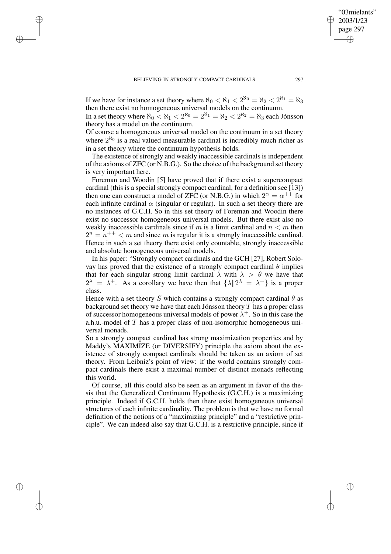✐

✐

✐

If we have for instance a set theory where  $\aleph_0 < \aleph_1 < 2^{\aleph_0} = \aleph_2 < 2^{\aleph_1} = \aleph_3$ then there exist no homogeneous universal models on the continuum.

In a set theory where  $\aleph_0 < \aleph_1 < 2^{\aleph_0} = 2^{\aleph_1} = \aleph_2 < 2^{\aleph_2} = \aleph_3$  each Jónsson theory has a model on the continuum.

Of course a homogeneous universal model on the continuum in a set theory where  $2^{\aleph_0}$  is a real valued measurable cardinal is incredibly much richer as in a set theory where the continuum hypothesis holds.

The existence of strongly and weakly inaccessible cardinals is independent of the axioms of ZFC (or N.B.G.). So the choice of the background set theory is very important here.

Foreman and Woodin [5] have proved that if there exist a supercompact cardinal (this is a special strongly compact cardinal, for a definition see [13]) then one can construct a model of ZFC (or N.B.G.) in which  $2^{\alpha} = \alpha^{++}$  for each infinite cardinal  $\alpha$  (singular or regular). In such a set theory there are no instances of G.C.H. So in this set theory of Foreman and Woodin there exist no successor homogeneous universal models. But there exist also no weakly inaccessible cardinals since if m is a limit cardinal and  $n < m$  then  $2^{n} = n^{++} < m$  and since m is regular it is a strongly inaccessible cardinal. Hence in such a set theory there exist only countable, strongly inaccessible and absolute homogeneous universal models.

In his paper: "Strongly compact cardinals and the GCH [27], Robert Solovay has proved that the existence of a strongly compact cardinal  $\theta$  implies that for each singular strong limit cardinal  $\lambda$  with  $\lambda > \theta$  we have that  $2^{\lambda} = \lambda^+$ . As a corollary we have then that  $\{\lambda \| 2^{\lambda} = \lambda^+\}$  is a proper class.

Hence with a set theory S which contains a strongly compact cardinal  $\theta$  as background set theory we have that each Jónsson theory  $T$  has a proper class of successor homogeneous universal models of power  $\lambda^{+}$ . So in this case the a.h.u.-model of  $T$  has a proper class of non-isomorphic homogeneous universal monads.

So a strongly compact cardinal has strong maximization properties and by Maddy's MAXIMIZE (or DIVERSIFY) principle the axiom about the existence of strongly compact cardinals should be taken as an axiom of set theory. From Leibniz's point of view: if the world contains strongly compact cardinals there exist a maximal number of distinct monads reflecting this world.

Of course, all this could also be seen as an argument in favor of the thesis that the Generalized Continuum Hypothesis (G.C.H.) is a maximizing principle. Indeed if G.C.H. holds then there exist homogeneous universal structures of each infinite cardinality. The problem is that we have no formal definition of the notions of a "maximizing principle" and a "restrictive principle". We can indeed also say that G.C.H. is a restrictive principle, since if

"03mielants" 2003/1/23 page 297

✐

✐

✐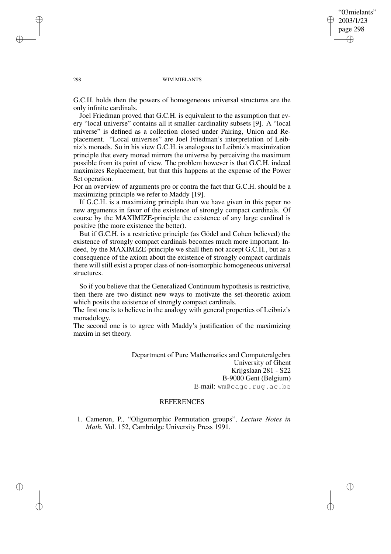"03mielants" 2003/1/23 page 298 ✐ ✐

✐

✐

#### 298 WIM MIELANTS

G.C.H. holds then the powers of homogeneous universal structures are the only infinite cardinals.

Joel Friedman proved that G.C.H. is equivalent to the assumption that every "local universe" contains all it smaller-cardinality subsets [9]. A "local universe" is defined as a collection closed under Pairing, Union and Replacement. "Local universes" are Joel Friedman's interpretation of Leibniz's monads. So in his view G.C.H. is analogous to Leibniz's maximization principle that every monad mirrors the universe by perceiving the maximum possible from its point of view. The problem however is that G.C.H. indeed maximizes Replacement, but that this happens at the expense of the Power Set operation.

For an overview of arguments pro or contra the fact that G.C.H. should be a maximizing principle we refer to Maddy [19].

If G.C.H. is a maximizing principle then we have given in this paper no new arguments in favor of the existence of strongly compact cardinals. Of course by the MAXIMIZE-principle the existence of any large cardinal is positive (the more existence the better).

But if G.C.H. is a restrictive principle (as Gödel and Cohen believed) the existence of strongly compact cardinals becomes much more important. Indeed, by the MAXIMIZE-principle we shall then not accept G.C.H., but as a consequence of the axiom about the existence of strongly compact cardinals there will still exist a proper class of non-isomorphic homogeneous universal structures.

So if you believe that the Generalized Continuum hypothesis is restrictive, then there are two distinct new ways to motivate the set-theoretic axiom which posits the existence of strongly compact cardinals.

The first one is to believe in the analogy with general properties of Leibniz's monadology.

The second one is to agree with Maddy's justification of the maximizing maxim in set theory.

> Department of Pure Mathematics and Computeralgebra University of Ghent Krijgslaan 281 - S22 B-9000 Gent (Belgium) E-mail: wm@cage.rug.ac.be

# REFERENCES

1. Cameron, P., "Oligomorphic Permutation groups", *Lecture Notes in Math.* Vol. 152, Cambridge University Press 1991.

✐

✐

✐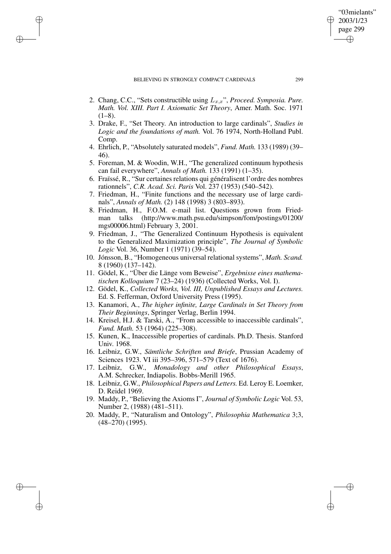### BELIEVING IN STRONGLY COMPACT CARDINALS 299

✐

✐

✐

✐

- 2. Chang, C.C., "Sets constructible using Lx,x", *Proceed. Symposia. Pure. Math. Vol. XIII. Part I. Axiomatic Set Theory*, Amer. Math. Soc. 1971  $(1-8)$ .
- 3. Drake, F., "Set Theory. An introduction to large cardinals", *Studies in Logic and the foundations of math.* Vol. 76 1974, North-Holland Publ. Comp.
- 4. Ehrlich, P., "Absolutely saturated models", *Fund. Math.* 133 (1989) (39– 46).
- 5. Foreman, M. & Woodin, W.H., "The generalized continuum hypothesis can fail everywhere", *Annals of Math.* 133 (1991) (1–35).
- 6. Fraïssé, R., "Sur certaines relations qui généralisent l'ordre des nombres rationnels", *C.R. Acad. Sci. Paris* Vol. 237 (1953) (540–542).
- 7. Friedman, H., "Finite functions and the necessary use of large cardinals", *Annals of Math.* (2) 148 (1998) 3 (803–893).
- 8. Friedman, H., F.O.M. e-mail list. Questions grown from Friedman talks (http://www.math.psu.edu/simpson/fom/postings/01200/ mgs00006.html) February 3, 2001.
- 9. Friedman, J., "The Generalized Continuum Hypothesis is equivalent to the Generalized Maximization principle", *The Journal of Symbolic Logic* Vol. 36, Number 1 (1971) (39–54).
- 10. Jónsson, B., "Homogeneous universal relational systems", *Math. Scand.* 8 (1960) (137–142).
- 11. Gödel, K., "Über die Länge vom Beweise", *Ergebnisse eines mathematischen Kolloquium* 7 (23–24) (1936) (Collected Works, Vol. I).
- 12. Gödel, K., *Collected Works, Vol. III, Unpublished Essays and Lectures.* Ed. S. Fefferman, Oxford University Press (1995).
- 13. Kanamori, A., *The higher infinite, Large Cardinals in Set Theory from Their Beginnings*, Springer Verlag, Berlin 1994.
- 14. Kreisel, H.J. & Tarski, A., "From accessible to inaccessible cardinals", *Fund. Math.* 53 (1964) (225–308).
- 15. Kunen, K., Inaccessible properties of cardinals. Ph.D. Thesis. Stanford Univ. 1968.
- 16. Leibniz, G.W., *Sämtliche Schriften und Briefe*, Prussian Academy of Sciences 1923. VI iii 395–396, 571–579 (Text of 1676).
- 17. Leibniz, G.W., *Monadology and other Philosophical Essays*, A.M. Schrecker, Indiapolis. Bobbs-Merill 1965.
- 18. Leibniz, G.W., *Philosophical Papers and Letters.* Ed. Leroy E. Loemker, D. Reidel 1969.
- 19. Maddy, P., "Believing the Axioms I", *Journal of Symbolic Logic* Vol. 53, Number 2, (1988) (481–511).
- 20. Maddy, P., "Naturalism and Ontology", *Philosophia Mathematica* 3;3, (48–270) (1995).

"03mielants" 2003/1/23 page 299

✐

✐

✐